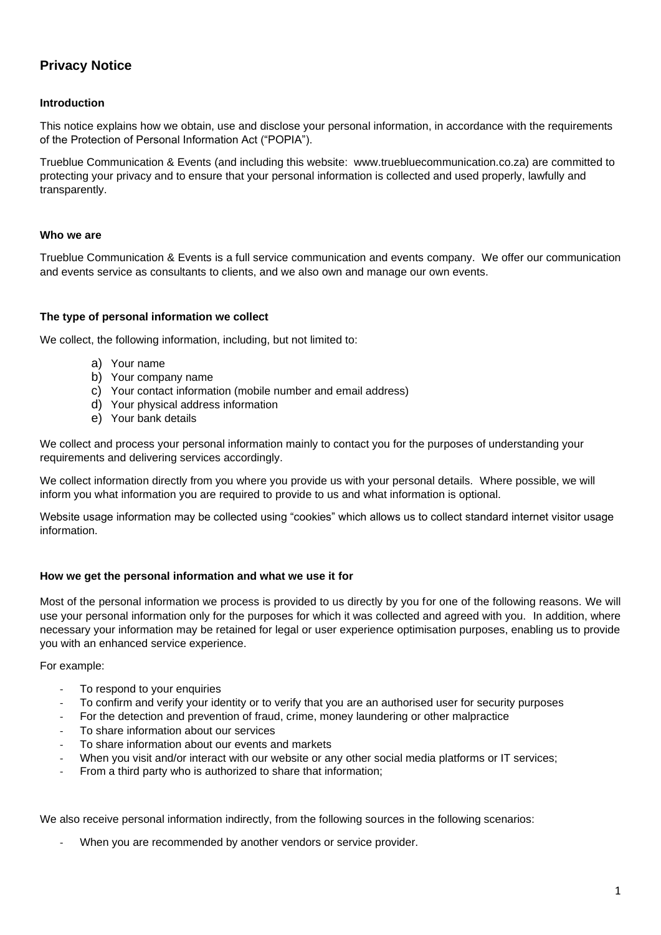# **Privacy Notice**

# **Introduction**

This notice explains how we obtain, use and disclose your personal information, in accordance with the requirements of the Protection of Personal Information Act ("POPIA").

Trueblue Communication & Events (and including this website: www.truebluecommunication.co.za) are committed to protecting your privacy and to ensure that your personal information is collected and used properly, lawfully and transparently.

## **Who we are**

Trueblue Communication & Events is a full service communication and events company. We offer our communication and events service as consultants to clients, and we also own and manage our own events.

## **The type of personal information we collect**

We collect, the following information, including, but not limited to:

- a) Your name
- b) Your company name
- c) Your contact information (mobile number and email address)
- d) Your physical address information
- e) Your bank details

We collect and process your personal information mainly to contact you for the purposes of understanding your requirements and delivering services accordingly.

We collect information directly from you where you provide us with your personal details. Where possible, we will inform you what information you are required to provide to us and what information is optional.

Website usage information may be collected using "cookies" which allows us to collect standard internet visitor usage information.

## **How we get the personal information and what we use it for**

Most of the personal information we process is provided to us directly by you for one of the following reasons. We will use your personal information only for the purposes for which it was collected and agreed with you. In addition, where necessary your information may be retained for legal or user experience optimisation purposes, enabling us to provide you with an enhanced service experience.

#### For example:

- To respond to your enquiries
- To confirm and verify your identity or to verify that you are an authorised user for security purposes
- For the detection and prevention of fraud, crime, money laundering or other malpractice
- To share information about our services
- To share information about our events and markets
- When you visit and/or interact with our website or any other social media platforms or IT services;
- From a third party who is authorized to share that information;

We also receive personal information indirectly, from the following sources in the following scenarios:

When you are recommended by another vendors or service provider.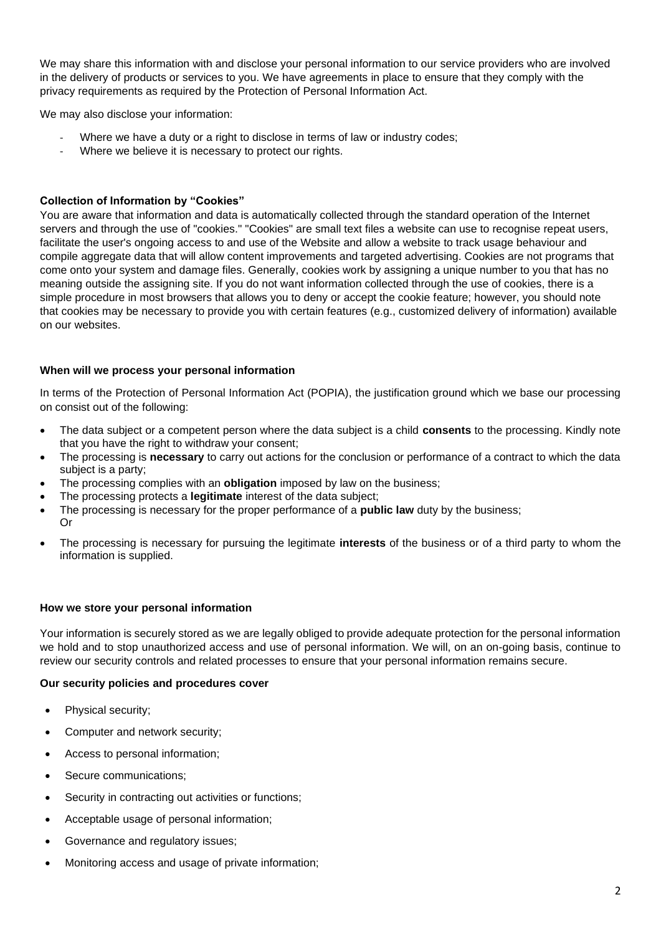We may share this information with and disclose your personal information to our service providers who are involved in the delivery of products or services to you. We have agreements in place to ensure that they comply with the privacy requirements as required by the Protection of Personal Information Act.

We may also disclose your information:

- Where we have a duty or a right to disclose in terms of law or industry codes;
- Where we believe it is necessary to protect our rights.

## **Collection of Information by "Cookies"**

You are aware that information and data is automatically collected through the standard operation of the Internet servers and through the use of "cookies." "Cookies" are small text files a website can use to recognise repeat users, facilitate the user's ongoing access to and use of the Website and allow a website to track usage behaviour and compile aggregate data that will allow content improvements and targeted advertising. Cookies are not programs that come onto your system and damage files. Generally, cookies work by assigning a unique number to you that has no meaning outside the assigning site. If you do not want information collected through the use of cookies, there is a simple procedure in most browsers that allows you to deny or accept the cookie feature; however, you should note that cookies may be necessary to provide you with certain features (e.g., customized delivery of information) available on our websites.

## **When will we process your personal information**

In terms of the Protection of Personal Information Act (POPIA), the justification ground which we base our processing on consist out of the following:

- The data subject or a competent person where the data subject is a child **consents** to the processing. Kindly note that you have the right to withdraw your consent;
- The processing is **necessary** to carry out actions for the conclusion or performance of a contract to which the data subject is a party;
- The processing complies with an **obligation** imposed by law on the business;
- The processing protects a **legitimate** interest of the data subject;
- The processing is necessary for the proper performance of a **public law** duty by the business; Or
- The processing is necessary for pursuing the legitimate **interests** of the business or of a third party to whom the information is supplied.

#### **How we store your personal information**

Your information is securely stored as we are legally obliged to provide adequate protection for the personal information we hold and to stop unauthorized access and use of personal information. We will, on an on-going basis, continue to review our security controls and related processes to ensure that your personal information remains secure.

#### **Our security policies and procedures cover**

- Physical security;
- Computer and network security;
- Access to personal information;
- Secure communications;
- Security in contracting out activities or functions:
- Acceptable usage of personal information;
- Governance and regulatory issues;
- Monitoring access and usage of private information;